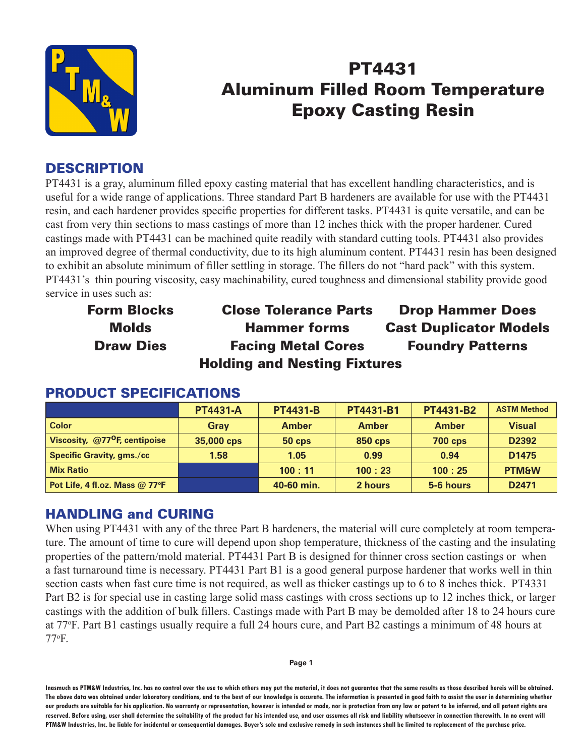

# PT4431 Aluminum Filled Room Temperature Epoxy Casting Resin

# **DESCRIPTION**

PT4431 is a gray, aluminum filled epoxy casting material that has excellent handling characteristics, and is useful for a wide range of applications. Three standard Part B hardeners are available for use with the PT4431 resin, and each hardener provides specific properties for different tasks. PT4431 is quite versatile, and can be cast from very thin sections to mass castings of more than 12 inches thick with the proper hardener. Cured castings made with PT4431 can be machined quite readily with standard cutting tools. PT4431 also provides an improved degree of thermal conductivity, due to its high aluminum content. PT4431 resin has been designed to exhibit an absolute minimum of filler settling in storage. The fillers do not "hard pack" with this system. PT4431's thin pouring viscosity, easy machinability, cured toughness and dimensional stability provide good service in uses such as:

Form Blocks Close Tolerance Parts Drop Hammer Does Molds Hammer forms Cast Duplicator Models Draw Dies Facing Metal Cores Foundry Patterns Holding and Nesting Fixtures

|                                           | <b>PT4431-A</b> | <b>PT4431-B</b> | PT4431-B1      | PT4431-B2      | <b>ASTM Method</b> |
|-------------------------------------------|-----------------|-----------------|----------------|----------------|--------------------|
| <b>Color</b>                              | Gray            | <b>Amber</b>    | <b>Amber</b>   | <b>Amber</b>   | <b>Visual</b>      |
| Viscosity, @77 <sup>o</sup> F, centipoise | 35,000 cps      | <b>50 cps</b>   | <b>850 cps</b> | <b>700 cps</b> | D2392              |
| <b>Specific Gravity, gms./cc</b>          | 1.58            | 1.05            | 0.99           | 0.94           | D <sub>1475</sub>  |
| <b>Mix Ratio</b>                          |                 | 100:11          | 100:23         | 100:25         | <b>PTM&amp;W</b>   |
| Pot Life, 4 fl.oz. Mass @ 77°F            |                 | 40-60 min.      | 2 hours        | 5-6 hours      | D <sub>2471</sub>  |

#### PRODUCT SPECIFICATIONS

# HANDLING and CURING

When using PT4431 with any of the three Part B hardeners, the material will cure completely at room temperature. The amount of time to cure will depend upon shop temperature, thickness of the casting and the insulating properties of the pattern/mold material. PT4431 Part B is designed for thinner cross section castings or when a fast turnaround time is necessary. PT4431 Part B1 is a good general purpose hardener that works well in thin section casts when fast cure time is not required, as well as thicker castings up to 6 to 8 inches thick. PT4331 Part B2 is for special use in casting large solid mass castings with cross sections up to 12 inches thick, or larger castings with the addition of bulk fillers. Castings made with Part B may be demolded after 18 to 24 hours cure at 77o F. Part B1 castings usually require a full 24 hours cure, and Part B2 castings a minimum of 48 hours at 77o F.

**Inasmuch as PTM&W Industries, Inc. has no control over the use to which others may put the material, it does not guarantee that the same results as those described hereis will be obtained. The above data was obtained under laboratory conditions, and to the best of our knowledge is accurate. The information is presented in good faith to assist the user in determining whether our products are suitable for his application. No warranty or representation, however is intended or made, nor is protection from any law or patent to be inferred, and all patent rights are**  reserved. Before using, user shall determine the suitability of the product for his intended use, and user assumes all risk and liability whatsoever in connection therewith. In no event will **PTM&W Industries, Inc. be liable for incidental or consequential damages. Buyer's sole and exclusive remedy in such instances shall be limited to replacement of the purchase price.**